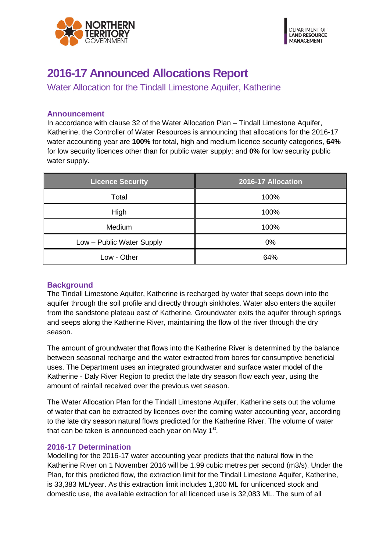

## **2016-17 Announced Allocations Report**

Water Allocation for the Tindall Limestone Aquifer, Katherine

## **Announcement**

In accordance with clause 32 of the Water Allocation Plan – Tindall Limestone Aquifer, Katherine, the Controller of Water Resources is announcing that allocations for the 2016-17 water accounting year are **100%** for total, high and medium licence security categories, **64%**  for low security licences other than for public water supply; and **0%** for low security public water supply.

| <b>Licence Security</b>   | 2016-17 Allocation |
|---------------------------|--------------------|
| Total                     | 100%               |
| High                      | 100%               |
| Medium                    | 100%               |
| Low - Public Water Supply | $0\%$              |
| Low - Other               | 64%                |

## **Background**

The Tindall Limestone Aquifer, Katherine is recharged by water that seeps down into the aquifer through the soil profile and directly through sinkholes. Water also enters the aquifer from the sandstone plateau east of Katherine. Groundwater exits the aquifer through springs and seeps along the Katherine River, maintaining the flow of the river through the dry season.

The amount of groundwater that flows into the Katherine River is determined by the balance between seasonal recharge and the water extracted from bores for consumptive beneficial uses. The Department uses an integrated groundwater and surface water model of the Katherine - Daly River Region to predict the late dry season flow each year, using the amount of rainfall received over the previous wet season.

The Water Allocation Plan for the Tindall Limestone Aquifer, Katherine sets out the volume of water that can be extracted by licences over the coming water accounting year, according to the late dry season natural flows predicted for the Katherine River. The volume of water that can be taken is announced each year on May  $1<sup>st</sup>$ .

## **2016-17 Determination**

Modelling for the 2016-17 water accounting year predicts that the natural flow in the Katherine River on 1 November 2016 will be 1.99 cubic metres per second (m3/s). Under the Plan, for this predicted flow, the extraction limit for the Tindall Limestone Aquifer, Katherine, is 33,383 ML/year. As this extraction limit includes 1,300 ML for unlicenced stock and domestic use, the available extraction for all licenced use is 32,083 ML. The sum of all